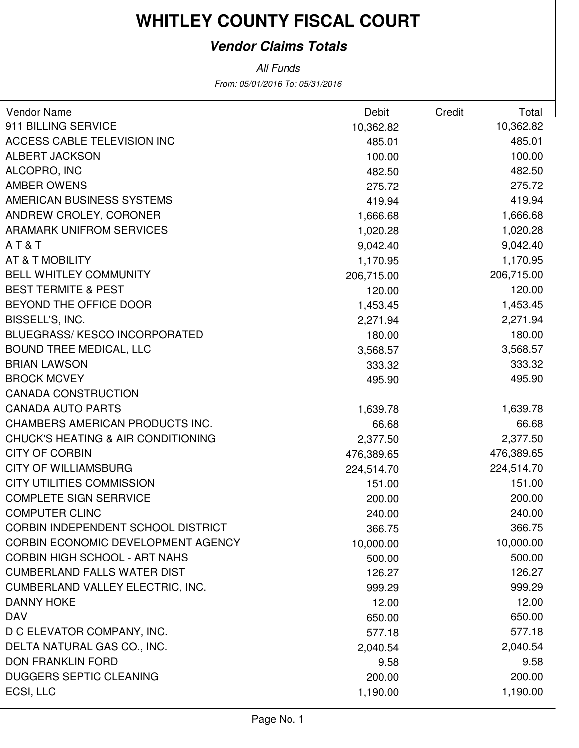#### **Vendor Claims Totals**

From: 05/01/2016 To: 05/31/2016 All Funds

| Vendor Name                                   | <b>Debit</b> | Credit | Total      |
|-----------------------------------------------|--------------|--------|------------|
| 911 BILLING SERVICE                           | 10,362.82    |        | 10,362.82  |
| <b>ACCESS CABLE TELEVISION INC</b>            | 485.01       |        | 485.01     |
| <b>ALBERT JACKSON</b>                         | 100.00       |        | 100.00     |
| ALCOPRO, INC                                  | 482.50       |        | 482.50     |
| <b>AMBER OWENS</b>                            | 275.72       |        | 275.72     |
| AMERICAN BUSINESS SYSTEMS                     | 419.94       |        | 419.94     |
| ANDREW CROLEY, CORONER                        | 1,666.68     |        | 1,666.68   |
| <b>ARAMARK UNIFROM SERVICES</b>               | 1,020.28     |        | 1,020.28   |
| AT&T                                          | 9,042.40     |        | 9,042.40   |
| AT & T MOBILITY                               | 1,170.95     |        | 1,170.95   |
| <b>BELL WHITLEY COMMUNITY</b>                 | 206,715.00   |        | 206,715.00 |
| <b>BEST TERMITE &amp; PEST</b>                | 120.00       |        | 120.00     |
| BEYOND THE OFFICE DOOR                        | 1,453.45     |        | 1,453.45   |
| BISSELL'S, INC.                               | 2,271.94     |        | 2,271.94   |
| <b>BLUEGRASS/ KESCO INCORPORATED</b>          | 180.00       |        | 180.00     |
| <b>BOUND TREE MEDICAL, LLC</b>                | 3,568.57     |        | 3,568.57   |
| <b>BRIAN LAWSON</b>                           | 333.32       |        | 333.32     |
| <b>BROCK MCVEY</b>                            | 495.90       |        | 495.90     |
| <b>CANADA CONSTRUCTION</b>                    |              |        |            |
| <b>CANADA AUTO PARTS</b>                      | 1,639.78     |        | 1,639.78   |
| CHAMBERS AMERICAN PRODUCTS INC.               | 66.68        |        | 66.68      |
| <b>CHUCK'S HEATING &amp; AIR CONDITIONING</b> | 2,377.50     |        | 2,377.50   |
| <b>CITY OF CORBIN</b>                         | 476,389.65   |        | 476,389.65 |
| <b>CITY OF WILLIAMSBURG</b>                   | 224,514.70   |        | 224,514.70 |
| <b>CITY UTILITIES COMMISSION</b>              | 151.00       |        | 151.00     |
| <b>COMPLETE SIGN SERRVICE</b>                 | 200.00       |        | 200.00     |
| <b>COMPUTER CLINC</b>                         | 240.00       |        | 240.00     |
| <b>CORBIN INDEPENDENT SCHOOL DISTRICT</b>     | 366.75       |        | 366.75     |
| CORBIN ECONOMIC DEVELOPMENT AGENCY            | 10,000.00    |        | 10,000.00  |
| <b>CORBIN HIGH SCHOOL - ART NAHS</b>          | 500.00       |        | 500.00     |
| <b>CUMBERLAND FALLS WATER DIST</b>            | 126.27       |        | 126.27     |
| CUMBERLAND VALLEY ELECTRIC, INC.              | 999.29       |        | 999.29     |
| <b>DANNY HOKE</b>                             | 12.00        |        | 12.00      |
| <b>DAV</b>                                    | 650.00       |        | 650.00     |
| D C ELEVATOR COMPANY, INC.                    | 577.18       |        | 577.18     |
| DELTA NATURAL GAS CO., INC.                   | 2,040.54     |        | 2,040.54   |
| <b>DON FRANKLIN FORD</b>                      | 9.58         |        | 9.58       |
| <b>DUGGERS SEPTIC CLEANING</b>                | 200.00       |        | 200.00     |
| ECSI, LLC                                     | 1,190.00     |        | 1,190.00   |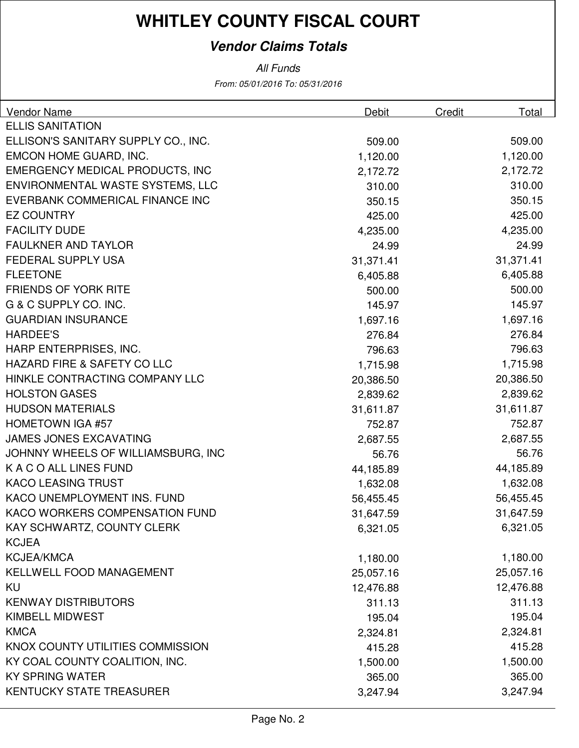#### **Vendor Claims Totals**

All Funds

From: 05/01/2016 To: 05/31/2016

| <b>Vendor Name</b>                     | Debit     | <b>Credit</b> | Total     |
|----------------------------------------|-----------|---------------|-----------|
| <b>ELLIS SANITATION</b>                |           |               |           |
| ELLISON'S SANITARY SUPPLY CO., INC.    | 509.00    |               | 509.00    |
| EMCON HOME GUARD, INC.                 | 1,120.00  |               | 1,120.00  |
| <b>EMERGENCY MEDICAL PRODUCTS, INC</b> | 2,172.72  |               | 2,172.72  |
| ENVIRONMENTAL WASTE SYSTEMS, LLC       | 310.00    |               | 310.00    |
| EVERBANK COMMERICAL FINANCE INC        | 350.15    |               | 350.15    |
| <b>EZ COUNTRY</b>                      | 425.00    |               | 425.00    |
| <b>FACILITY DUDE</b>                   | 4,235.00  |               | 4,235.00  |
| <b>FAULKNER AND TAYLOR</b>             | 24.99     |               | 24.99     |
| <b>FEDERAL SUPPLY USA</b>              | 31,371.41 |               | 31,371.41 |
| <b>FLEETONE</b>                        | 6,405.88  |               | 6,405.88  |
| <b>FRIENDS OF YORK RITE</b>            | 500.00    |               | 500.00    |
| G & C SUPPLY CO. INC.                  | 145.97    |               | 145.97    |
| <b>GUARDIAN INSURANCE</b>              | 1,697.16  |               | 1,697.16  |
| <b>HARDEE'S</b>                        | 276.84    |               | 276.84    |
| HARP ENTERPRISES, INC.                 | 796.63    |               | 796.63    |
| <b>HAZARD FIRE &amp; SAFETY CO LLC</b> | 1,715.98  |               | 1,715.98  |
| HINKLE CONTRACTING COMPANY LLC         | 20,386.50 |               | 20,386.50 |
| <b>HOLSTON GASES</b>                   | 2,839.62  |               | 2,839.62  |
| <b>HUDSON MATERIALS</b>                | 31,611.87 |               | 31,611.87 |
| <b>HOMETOWN IGA #57</b>                | 752.87    |               | 752.87    |
| <b>JAMES JONES EXCAVATING</b>          | 2,687.55  |               | 2,687.55  |
| JOHNNY WHEELS OF WILLIAMSBURG, INC     | 56.76     |               | 56.76     |
| K A C O ALL LINES FUND                 | 44,185.89 |               | 44,185.89 |
| <b>KACO LEASING TRUST</b>              | 1,632.08  |               | 1,632.08  |
| KACO UNEMPLOYMENT INS. FUND            | 56,455.45 |               | 56,455.45 |
| <b>KACO WORKERS COMPENSATION FUND</b>  | 31,647.59 |               | 31,647.59 |
| KAY SCHWARTZ, COUNTY CLERK             | 6,321.05  |               | 6,321.05  |
| <b>KCJEA</b>                           |           |               |           |
| <b>KCJEA/KMCA</b>                      | 1,180.00  |               | 1,180.00  |
| <b>KELLWELL FOOD MANAGEMENT</b>        | 25,057.16 |               | 25,057.16 |
| KU                                     | 12,476.88 |               | 12,476.88 |
| <b>KENWAY DISTRIBUTORS</b>             | 311.13    |               | 311.13    |
| <b>KIMBELL MIDWEST</b>                 | 195.04    |               | 195.04    |
| <b>KMCA</b>                            | 2,324.81  |               | 2,324.81  |
| KNOX COUNTY UTILITIES COMMISSION       | 415.28    |               | 415.28    |
| KY COAL COUNTY COALITION, INC.         | 1,500.00  |               | 1,500.00  |
| <b>KY SPRING WATER</b>                 | 365.00    |               | 365.00    |
| <b>KENTUCKY STATE TREASURER</b>        | 3,247.94  |               | 3,247.94  |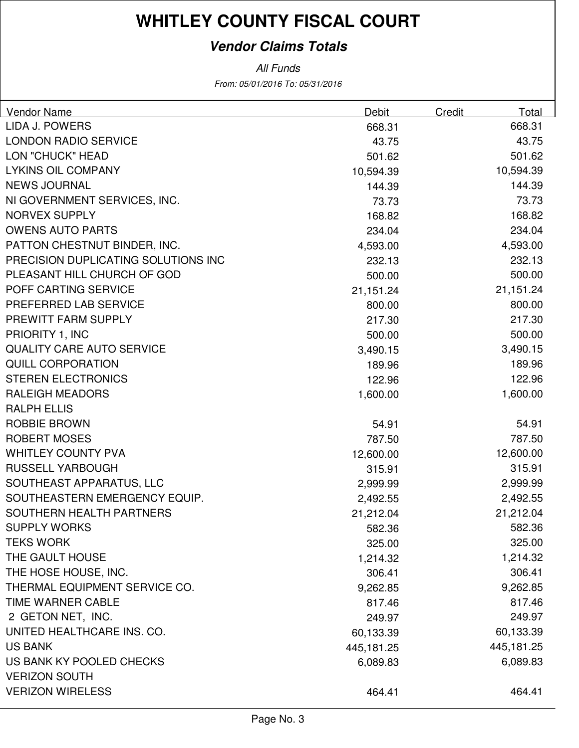#### **Vendor Claims Totals**

From: 05/01/2016 To: 05/31/2016 All Funds

| Vendor Name                         | Debit      | Credit | Total      |
|-------------------------------------|------------|--------|------------|
| LIDA J. POWERS                      | 668.31     |        | 668.31     |
| <b>LONDON RADIO SERVICE</b>         | 43.75      |        | 43.75      |
| LON "CHUCK" HEAD                    | 501.62     |        | 501.62     |
| <b>LYKINS OIL COMPANY</b>           | 10,594.39  |        | 10,594.39  |
| <b>NEWS JOURNAL</b>                 | 144.39     |        | 144.39     |
| NI GOVERNMENT SERVICES, INC.        | 73.73      |        | 73.73      |
| <b>NORVEX SUPPLY</b>                | 168.82     |        | 168.82     |
| <b>OWENS AUTO PARTS</b>             | 234.04     |        | 234.04     |
| PATTON CHESTNUT BINDER, INC.        | 4,593.00   |        | 4,593.00   |
| PRECISION DUPLICATING SOLUTIONS INC | 232.13     |        | 232.13     |
| PLEASANT HILL CHURCH OF GOD         | 500.00     |        | 500.00     |
| POFF CARTING SERVICE                | 21,151.24  |        | 21,151.24  |
| PREFERRED LAB SERVICE               | 800.00     |        | 800.00     |
| PREWITT FARM SUPPLY                 | 217.30     |        | 217.30     |
| PRIORITY 1, INC                     | 500.00     |        | 500.00     |
| <b>QUALITY CARE AUTO SERVICE</b>    | 3,490.15   |        | 3,490.15   |
| <b>QUILL CORPORATION</b>            | 189.96     |        | 189.96     |
| <b>STEREN ELECTRONICS</b>           | 122.96     |        | 122.96     |
| <b>RALEIGH MEADORS</b>              | 1,600.00   |        | 1,600.00   |
| <b>RALPH ELLIS</b>                  |            |        |            |
| <b>ROBBIE BROWN</b>                 | 54.91      |        | 54.91      |
| <b>ROBERT MOSES</b>                 | 787.50     |        | 787.50     |
| <b>WHITLEY COUNTY PVA</b>           | 12,600.00  |        | 12,600.00  |
| <b>RUSSELL YARBOUGH</b>             | 315.91     |        | 315.91     |
| SOUTHEAST APPARATUS, LLC            | 2,999.99   |        | 2,999.99   |
| SOUTHEASTERN EMERGENCY EQUIP.       | 2,492.55   |        | 2,492.55   |
| SOUTHERN HEALTH PARTNERS            | 21,212.04  |        | 21,212.04  |
| <b>SUPPLY WORKS</b>                 | 582.36     |        | 582.36     |
| <b>TEKS WORK</b>                    | 325.00     |        | 325.00     |
| THE GAULT HOUSE                     | 1,214.32   |        | 1,214.32   |
| THE HOSE HOUSE, INC.                | 306.41     |        | 306.41     |
| THERMAL EQUIPMENT SERVICE CO.       | 9,262.85   |        | 9,262.85   |
| TIME WARNER CABLE                   | 817.46     |        | 817.46     |
| 2 GETON NET, INC.                   | 249.97     |        | 249.97     |
| UNITED HEALTHCARE INS. CO.          | 60,133.39  |        | 60,133.39  |
| <b>US BANK</b>                      | 445,181.25 |        | 445,181.25 |
| US BANK KY POOLED CHECKS            | 6,089.83   |        | 6,089.83   |
| <b>VERIZON SOUTH</b>                |            |        |            |
| <b>VERIZON WIRELESS</b>             | 464.41     |        | 464.41     |